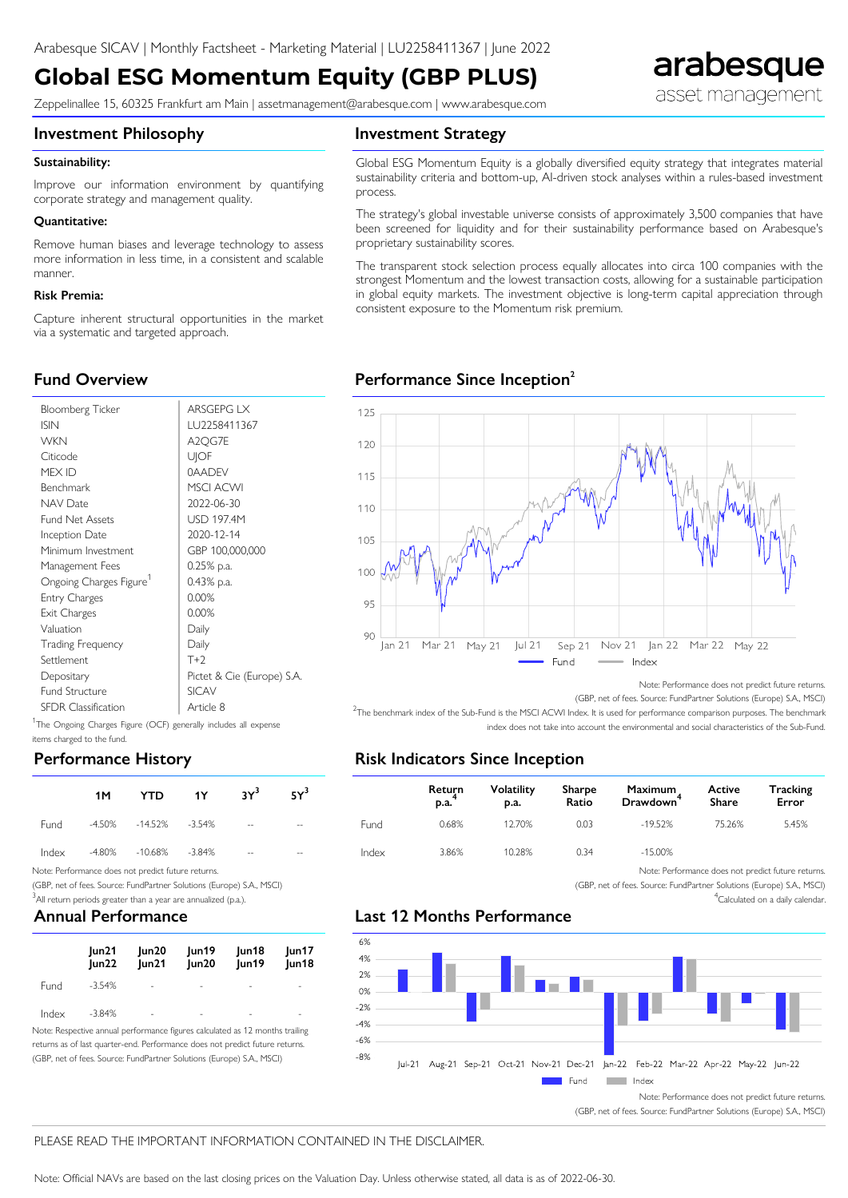# **Global ESG Momentum Equity (GBP PLUS)**

Zeppelinallee 15, 60325 Frankfurt am Main | assetmanagement@arabesque.com | www.arabesque.com

# arabesque asset management

**Investment Philosophy**

#### **Investment Strategy**

#### Sustainability:

Improve our information environment by quantifying corporate strategy and management quality.

#### ● **Quantitative:**

Remove human biases and leverage technology to assess more information in less time, in a consistent and scalable manner.

#### ● **Risk Premia:**

**Fund Overview**

Capture inherent structural opportunities in the market via a systematic and targeted approach.

#### Global ESG Momentum Equity is a globally diversified equity strategy that integrates material sustainability criteria and bottom-up, AI-driven stock analyses within a rules-based investment process.

The strategy's global investable universe consists of approximately 3,500 companies that have been screened for liquidity and for their sustainability performance based on Arabesque's proprietary sustainability scores.

The transparent stock selection process equally allocates into circa 100 companies with the strongest Momentum and the lowest transaction costs, allowing for a sustainable participation in global equity markets. The investment objective is long-term capital appreciation through consistent exposure to the Momentum risk premium.

## **Performance Since Inception<sup>2</sup>**



<sup>1</sup>The Ongoing Charges Figure (OCF) generally includes all expense items charged to the fund.

## **Performance History**

| 1M . |                             | $\begin{array}{ccc} \text{YTD} & \text{1Y} & \text{3Y}^3 & \text{5Y}^3 \end{array}$ |               |       |  |
|------|-----------------------------|-------------------------------------------------------------------------------------|---------------|-------|--|
|      | Fund -4.50% -14.52% -3.54%  |                                                                                     | $\sim$ $\sim$ | $- -$ |  |
|      | Index -4.80% -10.68% -3.84% |                                                                                     | $- -$         | --    |  |

Note: Performance does not predict future returns.

(GBP, net of fees. Source: FundPartner Solutions (Europe) S.A., MSCI)

 $3$ All return periods greater than a year are annualized (p.a.).

### **Annual Performance**

|       | un21<br> un22 | un20<br> un21 | Jun19<br> un20           | Jun18<br>Jun19 | un17 <br>Jun18 |
|-------|---------------|---------------|--------------------------|----------------|----------------|
| Fund  | -3.54%        | $\sim$        | $\overline{\phantom{a}}$ | ۰              | ٠              |
| Index | -3.84%        | ۰             | -                        |                |                |

Note: Respective annual performance figures calculated as 12 months trailing returns as of last quarter-end. Performance does not predict future returns. (GBP, net of fees. Source: FundPartner Solutions (Europe) S.A., MSCI)



Note: Performance does not predict future returns.

(GBP, net of fees. Source: FundPartner Solutions (Europe) S.A., MSCI)

<sup>2</sup>The benchmark index of the Sub-Fund is the MSCI ACWI Index. It is used for performance comparison purposes. The benchmark index does not take into account the environmental and social characteristics of the Sub-Fund.

## **Risk Indicators Since Inception**

|       | <b>Return</b><br>$p.a.$ | Volatility<br>p.a. | Sharpe<br>Ratio | Maximum<br>Drawdown <sup>-</sup> | Active<br><b>Share</b> | <b>Tracking</b><br>Error |
|-------|-------------------------|--------------------|-----------------|----------------------------------|------------------------|--------------------------|
| Fund  | 0.68%                   | 12.70%             | 0.03            | $-19.52%$                        | 75.26%                 | 5.45%                    |
| Index | 3.86%                   | 10.28%             | 0.34            | $-15.00\%$                       |                        |                          |

Note: Performance does not predict future returns.

(GBP, net of fees. Source: FundPartner Solutions (Europe) S.A., MSCI) <sup>4</sup>Calculated on a daily calendar.

# **Last 12 Months Performance**



(GBP, net of fees. Source: FundPartner Solutions (Europe) S.A., MSCI)

#### PLEASE READ THE IMPORTANT INFORMATION CONTAINED IN THE DISCLAIMER.

Note: Official NAVs are based on the last closing prices on the Valuation Day. Unless otherwise stated, all data is as of 2022-06-30.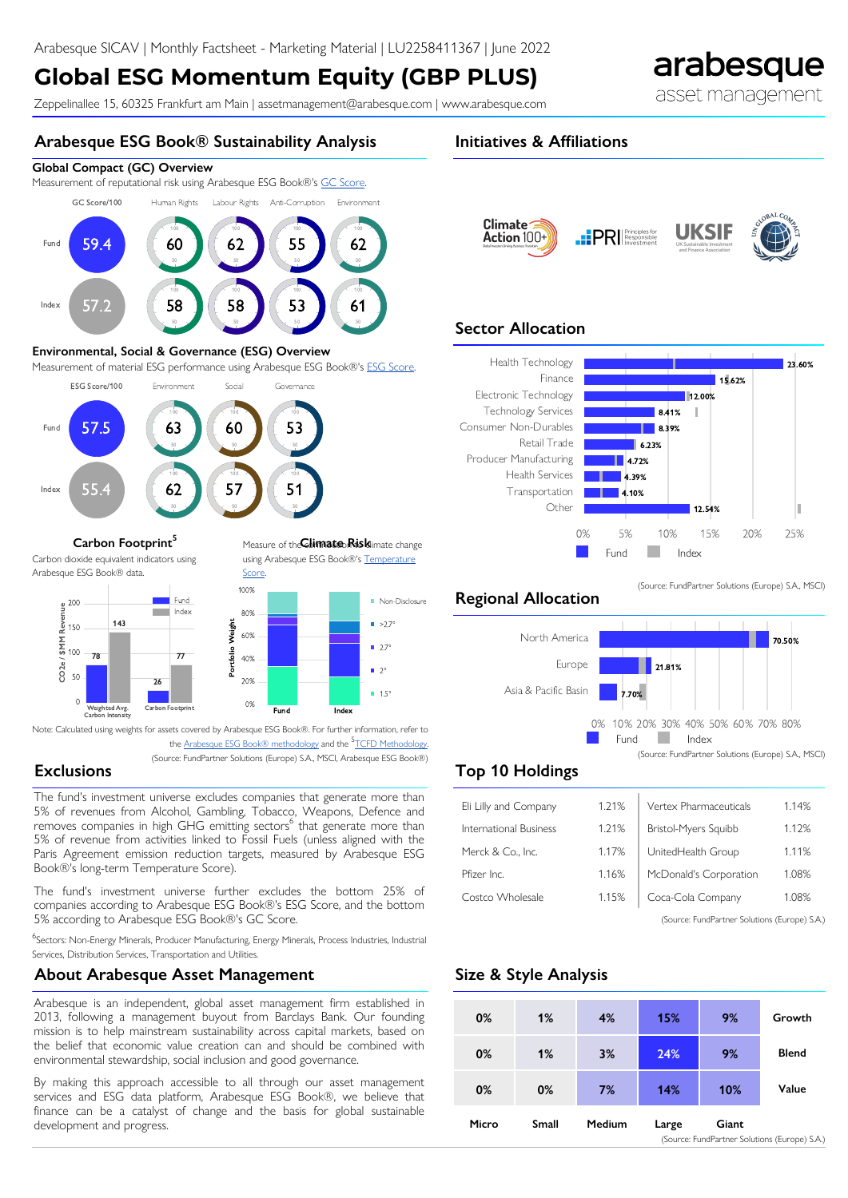# **Global ESG Momentum Equity (GBP PLUS)**

Zeppelinallee 15, 60325 Frankfurt am Main | assetmanagement@arabesque.com | www.arabesque.com

### **Arabesque ESG Book® Sustainability Analysis**

#### **Global Compact (GC) Overview**

Measurement of reputational risk using Arabesque ESG Book®'s [GC Score](http://arabesque.com/docs/sray/S-Ray%20Methodology%20v260.pdf).





#### **Environmental, Social & Governance (ESG) Overview**

Measurement of material ESG performance using Arabesque ESG Book®'s [ESG Score.](http://arabesque.com/docs/sray/S-Ray%20Methodology%20v260.pdf)



#### **Carbon Footprint<sup>5</sup>** Measure of the **Climate Risk**limate change

Carbon dioxide equivalent indicators using Arabesque ESG Book® data.



using Arabesque ESG Book®'s [Temperature](http://arabesque.com/docs/sray/S-Ray%20Methodology%20v260.pdf) **Score** 



Note: Calculated using weights for assets covered by Arabesque ESG Book®. For further information, refer to

the <u>Arabesque ESG Book® methodology</u> and the <sup>5</sup>[TCFD Methodology](https://www.tcfdhub.org/Downloads/pdfs/E09%20-%20Carbon%20footprinting%20-%20metrics.pdf). (Source: FundPartner Solutions (Europe) S.A., MSCI, Arabesque ESG Book®)

## **Exclusions**

The fund's investment universe excludes companies that generate more than 5% of revenues from Alcohol, Gambling, Tobacco, Weapons, Defence and removes companies in high GHG emitting sectors<sup>6</sup> that generate more than 5% of revenue from activities linked to Fossil Fuels (unless aligned with the Paris Agreement emission reduction targets, measured by Arabesque ESG Book®'s long-term Temperature Score).

The fund's investment universe further excludes the bottom 25% of companies according to Arabesque ESG Book®'s ESG Score, and the bottom 5% according to Arabesque ESG Book®'s GC Score.

<sup>6</sup>Sectors: Non-Energy Minerals, Producer Manufacturing, Energy Minerals, Process Industries, Industrial Services, Distribution Services, Transportation and Utilities.

#### **About Arabesque Asset Management**

Arabesque is an independent, global asset management firm established in 2013, following a management buyout from Barclays Bank. Our founding mission is to help mainstream sustainability across capital markets, based on the belief that economic value creation can and should be combined with environmental stewardship, social inclusion and good governance.

By making this approach accessible to all through our asset management services and ESG data platform, Arabesque ESG Book®, we believe that finance can be a catalyst of change and the basis for global sustainable development and progress.

### **Initiatives & Affiliations**



## **Sector Allocation**



### **Regional Allocation**



(Source: FundPartner Solutions (Europe) S.A., MSCI)

# **Top 10 Holdings**

| Eli Lilly and Company  | 1.21% | Vertex Pharmaceuticals                        | 1.14% |
|------------------------|-------|-----------------------------------------------|-------|
| International Business | 1.21% | <b>Bristol-Myers Squibb</b>                   | 1.12% |
| Merck & Co., Inc.      | 1.17% | UnitedHealth Group                            | 1.11% |
| Pfizer Inc.            | 1.16% | McDonald's Corporation                        | 1.08% |
| Costco Wholesale       | 1.15% | Coca-Cola Company                             | 1.08% |
|                        |       | (Source: FundPartner Solutions (Europe) S.A.) |       |

## **Size & Style Analysis**

| 0% | 0%    | 7%            | 14%   | 10%   | Value |
|----|-------|---------------|-------|-------|-------|
|    | Small |               |       |       |       |
|    |       | <b>Medium</b> | Large | Giant |       |

arabesque

asset management